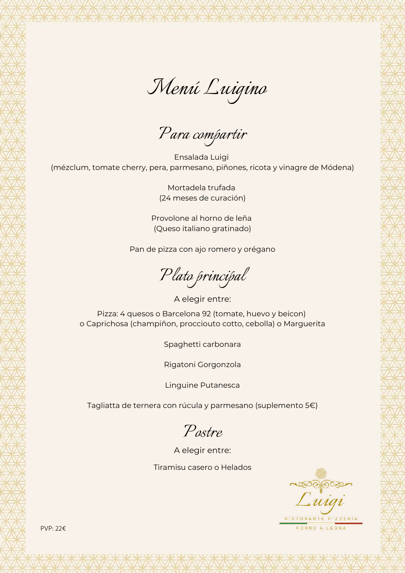*Menú Luigino*

*Para compartir*

Ensalada Luigi (mézclum, tomate cherry, pera, parmesano, piñones, ricota y vinagre de Módena)

> Mortadela trufada (24 meses de curación)

Provolone al horno de leña (Queso italiano gratinado)

Pan de pizza con ajo romero y orégano

*Plato principal*

Pizza: 4 quesos o Barcelona 92 (tomate, huevo y beicon) o Caprichosa (champiñon, procciouto cotto, cebolla) o Marguerita A elegir entre:

Spaghetti carbonara

Rigatoni Gorgonzola

Linguine Putanesca

Tagliatta de ternera con rúcula y parmesano (suplemento 5€)

*Postre*

A elegir entre:

Tiramisu casero o Helados

Suigi RISTORANTE PIZZERIA

FORNO A LEGNA

PVP: 22€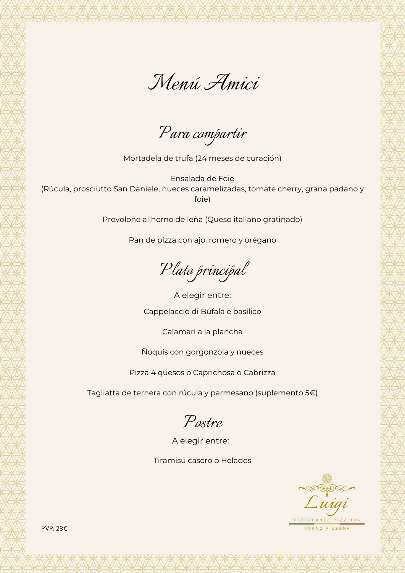

*Para compartir*

Mortadela de trufa (24 meses de curación)

Ensalada de Foie (Rúcula, prosciutto San Daniele, nueces caramelizadas, tomate cherry, grana padano y foie)

Provolone al horno de leña (Queso italiano gratinado)

Pan de pizza con ajo, romero y orégano

*Plato principal*

Cappelaccio di Búfala e basilico A elegir entre:

Calamari a la plancha

Ñoquis con gorgonzola y nueces

Pizza 4 quesos o Caprichosa o Cabrizza

Tagliatta de ternera con rúcula y parmesano (suplemento 5€)

*Postre*

A elegir entre:

Tiramisú casero o Helados

Luigi FORNO A LEGNA

PVP: 28€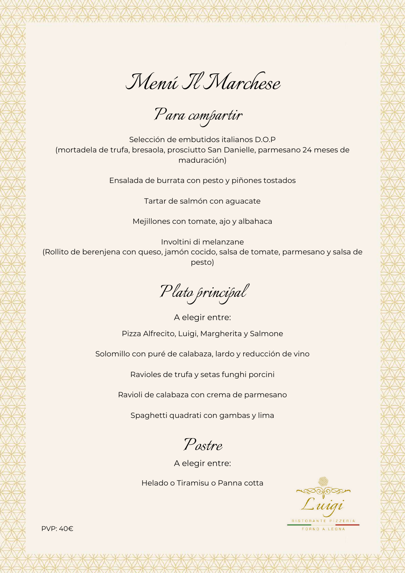

*Para compartir*

Selección de embutidos italianos D.O.P (mortadela de trufa, bresaola, prosciutto San Danielle, parmesano 24 meses de maduración)

Ensalada de burrata con pesto y piñones tostados

Tartar de salmón con aguacate

Mejillones con tomate, ajo y albahaca

Involtini di melanzane (Rollito de berenjena con queso, jamón cocido, salsa de tomate, parmesano y salsa de pesto)

*Plato principal*

Pizza Alfrecito, Luigi, Margherita y Salmone A elegir entre:

Solomillo con puré de calabaza, lardo y reducción de vino

Ravioles de trufa y setas funghi porcini

Ravioli de calabaza con crema de parmesano

Spaghetti quadrati con gambas y lima

*Postre*

A elegir entre:

Helado o Tiramisu o Panna cotta

 $\sim$   $\sim$   $\sim$ Luigi STORANTE PIZZERIA ORNO A LEGNA

PVP: 40€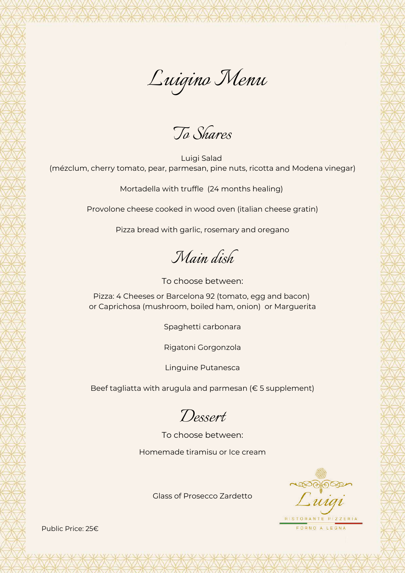*To Shares*

Luigi Salad (mézclum, cherry tomato, pear, parmesan, pine nuts, ricotta and Modena vinegar)

Mortadella with truffle (24 months healing)

Provolone cheese cooked in wood oven (italian cheese gratin)

Pizza bread with garlic, rosemary and oregano

*Main dish*

To choose between:

Pizza: 4 Cheeses or Barcelona 92 (tomato, egg and bacon) or Caprichosa (mushroom, boiled ham, onion) or Marguerita

Spaghetti carbonara

Rigatoni Gorgonzola

Linguine Putanesca

Beef tagliatta with arugula and parmesan (€ 5 supplement)

*Dessert*

To choose between:

Homemade tiramisu or Ice cream

Suigi RISTORANTE PIZZERIA

FORNO A LEGNA

Glass of Prosecco Zardetto

Public Price: 25€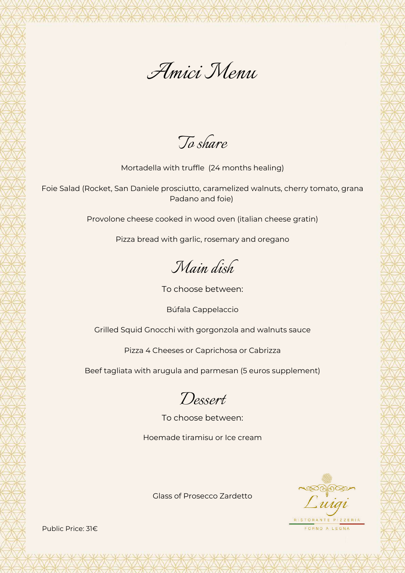

*To share*

Mortadella with truffle (24 months healing)

Foie Salad (Rocket, San Daniele prosciutto, caramelized walnuts, cherry tomato, grana Padano and foie)

Provolone cheese cooked in wood oven (italian cheese gratin)

Pizza bread with garlic, rosemary and oregano

*Main dish*

To choose between:

Búfala Cappelaccio

Grilled Squid Gnocchi with gorgonzola and walnuts sauce

Pizza 4 Cheeses or Caprichosa or Cabrizza

Beef tagliata with arugula and parmesan (5 euros supplement)

*Dessert*

To choose between:

Hoemade tiramisu or Ice cream



Glass of Prosecco Zardetto

Public Price: 31€